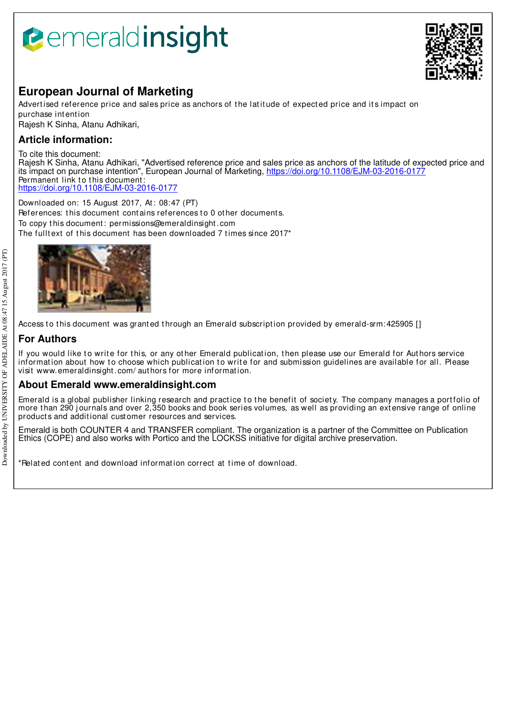# **B**emeraldinsight



## **European Journal of Marketing**

Advertised reference price and sales price as anchors of the latitude of expected price and its impact on purchase int ent ion

Rajesh K Sinha, Atanu Adhikari,

### **Article information:**

To cite this document:

Rajesh K Sinha, Atanu Adhikari, "Advertised reference price and sales price as anchors of the latitude of expected price and its impact on purchase intention", European Journal of Marketing, https://doi.org/10.1108/EJM-03-2016-0177 Permanent link to this document: https://doi.org/10.1108/EJM-03-2016-0177

Downloaded on: 15 August 2017, At : 08:47 (PT) References: this document contains references to 0 other documents. To copy t his document : permissions@emeraldinsight .com The fulltext of this document has been downloaded 7 times since 2017\*



Access to this document was granted through an Emerald subscription provided by emerald-srm: 425905 []

## **For Authors**

If you would like to write for this, or any other Emerald publication, then please use our Emerald for Authors service information about how to choose which publication to write for and submission guidelines are available for all. Please visit www.emeraldinsight .com/ aut hors for more informat ion.

#### **About Emerald www.emeraldinsight.com**

Emerald is a global publisher linking research and practice to the benefit of society. The company manages a portfolio of more than 290 journals and over 2,350 books and book series volumes, as well as providing an extensive range of online product s and addit ional cust omer resources and services.

Emerald is both COUNTER 4 and TRANSFER compliant. The organization is a partner of the Committee on Publication Ethics (COPE) and also works with Portico and the LOCKSS initiative for digital archive preservation.

\*Relat ed cont ent and download informat ion correct at t ime of download.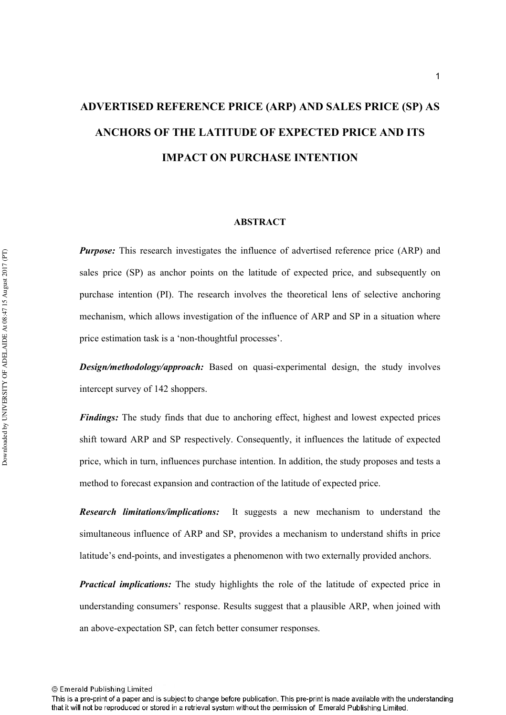## **ADVERTISED REFERENCE PRICE (ARP) AND SALES PRICE (SP) AS ANCHORS OF THE LATITUDE OF EXPECTED PRICE AND ITS IMPACT ON PURCHASE INTENTION**

#### **ABSTRACT**

**Purpose:** This research investigates the influence of advertised reference price (ARP) and sales price (SP) as anchor points on the latitude of expected price, and subsequently on purchase intention (PI). The research involves the theoretical lens of selective anchoring mechanism, which allows investigation of the influence of ARP and SP in a situation where price estimation task is a 'non-thoughtful processes'.

**Design/methodology/approach:** Based on quasi-experimental design, the study involves intercept survey of 142 shoppers.

Findings: The study finds that due to anchoring effect, highest and lowest expected prices shift toward ARP and SP respectively. Consequently, it influences the latitude of expected price, which in turn, influences purchase intention. In addition, the study proposes and tests a method to forecast expansion and contraction of the latitude of expected price.

*Research limitations/implicati* It suggests a new mechanism to understand the simultaneous influence of ARP and SP, provides a mechanism to understand shifts in price latitude's end-points, and investigates a phenomenon with two externally provided anchors.

*Practical implications:* The study highlights the role of the latitude of expected price in understanding consumers' response. Results suggest that a plausible ARP, when joined with an above-expectation SP, can fetch better consumer responses.

© Emerald Publishing Limited

Downloaded by UNIVERSITY OF ADELAIDE At 08:47 15 August 2017 (PT) Downloaded by UNIVERSITY OF ADELAIDE At 08:47 15 August 2017 (PT)

This is a pre-print of a paper and is subject to change before publication. This pre-print is made available with the understanding that it will not be reproduced or stored in a retrieval system without the permission of Emerald Publishing Limited.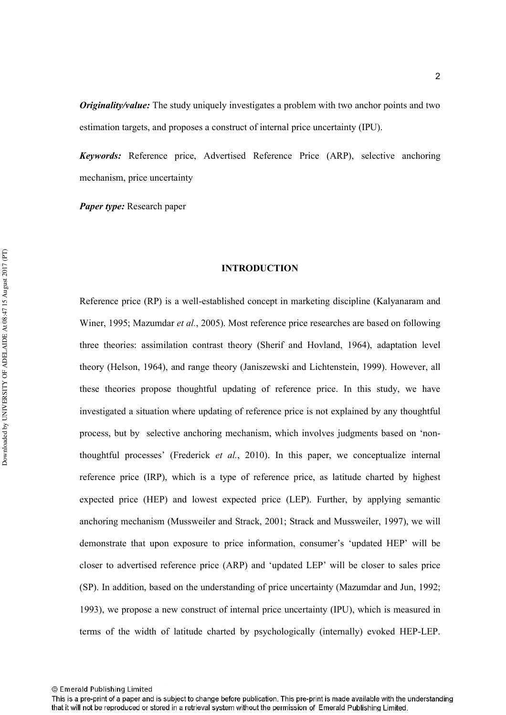*Originality/value:* The study uniquely investigates a problem with two anchor points and two estimation targets, and proposes a construct of internal price uncertainty (IPU).

Keywords: Reference price, Advertised Reference Price (ARP), selective anchoring mechanism, price uncertainty

Paper type: Research paper

#### **INTRODUCTION**

Reference price (RP) is a well-established concept in marketing discipline (Kalyanaram and Winer, 1995; Mazumdar et al., 2005). Most reference price researches are based on following three theories: assimilation contrast theory (Sherif and Hovland, 1964), adaptation level theory (Helson, 1964), and range theory (Janiszewski and Lichtenstein, 1999). However, all these theories propose thoughtful updating of reference price. In this study, we have investigated a situation where updating of reference price is not explained by any thoughtful process, but by selective anchoring mechanism, which involves judgments based on 'nonthoughtful processes' (Frederick *et al.*, 2010). In this paper, we conceptualize internal reference price (IRP), which is a type of reference price, as latitude charted by highest expected price (HEP) and lowest expected price (LEP). Further, by applying semantic anchoring mechanism (Mussweiler and Strack, 2001; Strack and Mussweiler, 1997), we will demonstrate that upon exposure to price information, consumer's 'updated HEP' will be closer to advertised reference price (ARP) and 'updated LEP' will be closer to sales price (SP). In addition, based on the understanding of price uncertainty (Mazumdar and Jun, 1992; 1993), we propose a new construct of internal price uncertainty (IPU), which is measured in terms of the width of latitude charted by psychologically (internally) evoked HEP-LEP.

This is a pre-print of a paper and is subject to change before publication. This pre-print is made available with the understanding that it will not be reproduced or stored in a retrieval system without the permission of Emerald Publishing Limited.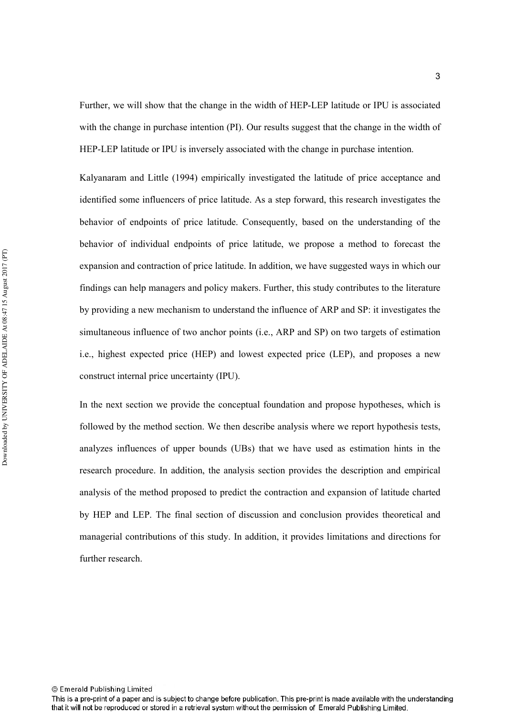Further, we will show that the change in the width of HEP-LEP latitude or IPU is associated with the change in purchase intention (PI). Our results suggest that the change in the width of HEP-LEP latitude or IPU is inversely associated with the change in purchase intention.

Kalyanaram and Little (1994) empirically investigated the latitude of price acceptance and identified some influencers of price latitude. As a step forward, this research investigates the behavior of endpoints of price latitude. Consequently, based on the understanding of the behavior of individual endpoints of price latitude, we propose a method to forecast the expansion and contraction of price latitude. In addition, we have suggested ways in which our findings can help managers and policy makers. Further, this study contributes to the literature by providing a new mechanism to understand the influence of ARP and SP: it investigates the simultaneous influence of two anchor points (i.e., ARP and SP) on two targets of estimation i.e., highest expected price (HEP) and lowest expected price (LEP), and proposes a new construct internal price uncertainty (IPU).

In the next section we provide the conceptual foundation and propose hypotheses, which is followed by the method section. We then describe analysis where we report hypothesis tests, analyzes influences of upper bounds (UBs) that we have used as estimation hints in the research procedure. In addition, the analysis section provides the description and empirical analysis of the method proposed to predict the contraction and expansion of latitude charted by HEP and LEP. The final section of discussion and conclusion provides theoretical and managerial contributions of this study. In addition, it provides limitations and directions for further research.

This is a pre-print of a paper and is subject to change before publication. This pre-print is made available with the understanding that it will not be reproduced or stored in a retrieval system without the permission of Emerald Publishing Limited.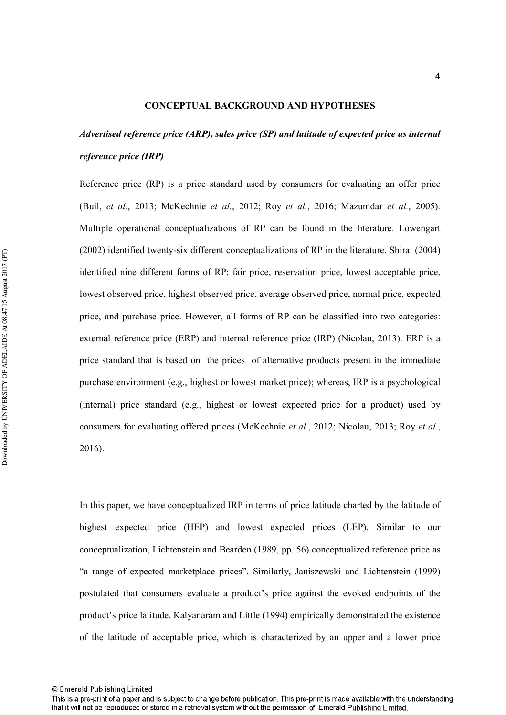#### **CONCEPTUAL BACKGROUND AND HYPOTHESES**

## *Advertised reference price (ARP), sales price (SP) and latitude of expected price as internal* reference price (IRP)

Reference price (RP) is a price standard used by consumers for evaluating an offer price (Buil, *et al.*, 2013; McKechnie *et al.*, 2012; Roy *et al.*, 2016; Mazumdar *et al.*, 2005). Multiple operational conceptualizations of RP can be found in the literature. Lowengart  $(2002)$  identified twenty-six different conceptualizations of RP in the literature. Shirai  $(2004)$ identified nine different forms of RP: fair price, reservation price, lowest acceptable price, lowest observed price, highest observed price, average observed price, normal price, expected price, and purchase price. However, all forms of RP can be classified into two categories: external reference price (ERP) and internal reference price (IRP) (Nicolau, 2013). ERP is a price standard that is based on the prices of alternative products present in the immediate purchase environment (e.g., highest or lowest market price); whereas, IRP is a psychological (internal) price standard (e.g., highest or lowest expected price for a product) used by consumers for evaluating offered prices (McKechnie et al., 2012; Nicolau, 2013; Roy et al., 2016).

In this paper, we have conceptualized IRP in terms of price latitude charted by the latitude of highest expected price (HEP) and lowest expected prices (LEP). Similar to our conceptualization, Lichtenstein and Bearden (1989, pp. 56) conceptualized reference price as "a range of expected marketplace prices". Similarly, Janiszewski and Lichtenstein (1999) postulated that consumers evaluate a product's price against the evoked endpoints of the product's price latitude. Kalyanaram and Little (1994) empirically demonstrated the existence of the latitude of acceptable price, which is characterized by an upper and a lower price

This is a pre-print of a paper and is subject to change before publication. This pre-print is made available with the understanding that it will not be reproduced or stored in a retrieval system without the permission of Emerald Publishing Limited.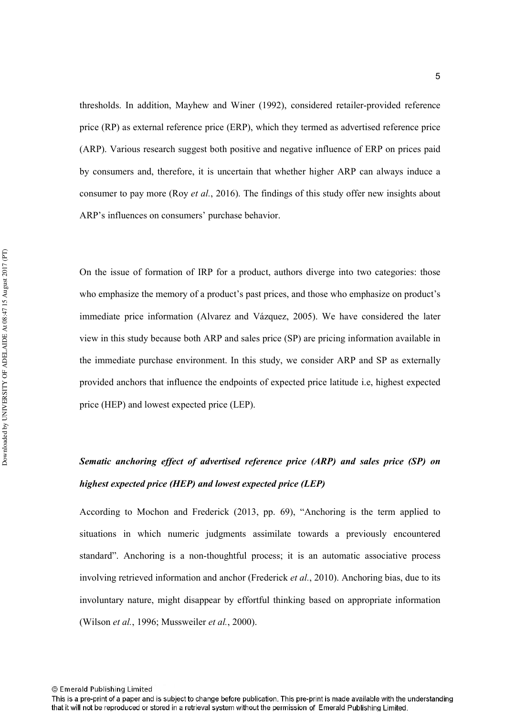thresholds. In addition, Mayhew and Winer (1992), considered retailer-provided reference price (RP) as external reference price (ERP), which they termed as advertised reference price (ARP). Various research suggest both positive and negative influence of ERP on prices paid by consumers and, therefore, it is uncertain that whether higher ARP can always induce a consumer to pay more (Roy *et al.*, 2016). The findings of this study offer new insights about ARP's influences on consumers' purchase behavior.

On the issue of formation of IRP for a product, authors diverge into two categories: those who emphasize the memory of a product's past prices, and those who emphasize on product's immediate price information (Alvarez and Vázquez, 2005). We have considered the later view in this study because both ARP and sales price (SP) are pricing information available in the immediate purchase environment. In this study, we consider ARP and SP as externally provided anchors that influence the endpoints of expected price latitude i.e, highest expected price (HEP) and lowest expected price (LEP).

## Sematic anchoring effect of advertised reference price (ARP) and sales price (SP) on *highest expected price (HEP) and lowest expected price (LEP)*

According to Mochon and Frederick (2013, pp. 69), "Anchoring is the term applied to situations in which numeric judgments assimilate towards a previously encountered standard". Anchoring is a non-thoughtful process; it is an automatic associative process involving retrieved information and anchor (Frederick *et al.*, 2010). Anchoring bias, due to its involuntary nature, might disappear by effortful thinking based on appropriate information (Wilson *et al.*, 1996; Mussweiler *et al.*, 2000).

This is a pre-print of a paper and is subject to change before publication. This pre-print is made available with the understanding that it will not be reproduced or stored in a retrieval system without the permission of Emerald Publishing Limited.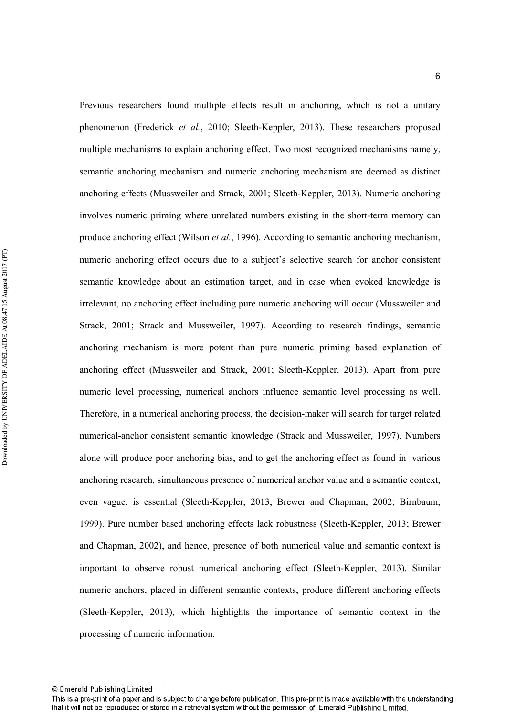Previous researchers found multiple effects result in anchoring, which is not a unitary phenomenon (Frederick et al., 2010; Sleeth-Keppler, 2013). These researchers proposed multiple mechanisms to explain anchoring effect. Two most recognized mechanisms namely, semantic anchoring mechanism and numeric anchoring mechanism are deemed as distinct anchoring effects (Mussweiler and Strack, 2001; Sleeth-Keppler, 2013). Numeric anchoring involves numeric priming where unrelated numbers existing in the short-term memory can produce anchoring effect (Wilson *et al.*, 1996). According to semantic anchoring mechanism, numeric anchoring effect occurs due to a subject's selective search for anchor consistent semantic knowledge about an estimation target, and in case when evoked knowledge is irrelevant, no anchoring effect including pure numeric anchoring will occur (Mussweiler and Strack, 2001; Strack and Mussweiler, 1997). According to research findings, semantic anchoring mechanism is more potent than pure numeric priming based explanation of anchoring effect (Mussweiler and Strack,  $2001$ ; Sleeth-Keppler, 2013). Apart from pure numeric level processing, numerical anchors influence semantic level processing as well. Therefore, in a numerical anchoring process, the decision-maker will search for target related numerical-anchor consistent semantic knowledge (Strack and Mussweiler, 1997). Numbers alone will produce poor anchoring bias, and to get the anchoring effect as found in various anchoring research, simultaneous presence of numerical anchor value and a semantic context, even vague, is essential (Sleeth-Keppler, 2013, Brewer and Chapman, 2002; Birnbaum, 1999). Pure number based anchoring effects lack robustness (Sleeth-Keppler, 2013; Brewer and Chapman, 2002), and hence, presence of both numerical value and semantic context is important to observe robust numerical anchoring effect (Sleeth-Keppler, 2013). Similar numeric anchors, placed in different semantic contexts, produce different anchoring effects (Sleeth-Keppler, 2013), which highlights the importance of semantic context in the processing of numeric information.

This is a pre-print of a paper and is subject to change before publication. This pre-print is made available with the understanding that it will not be reproduced or stored in a retrieval system without the permission of Emerald Publishing Limited.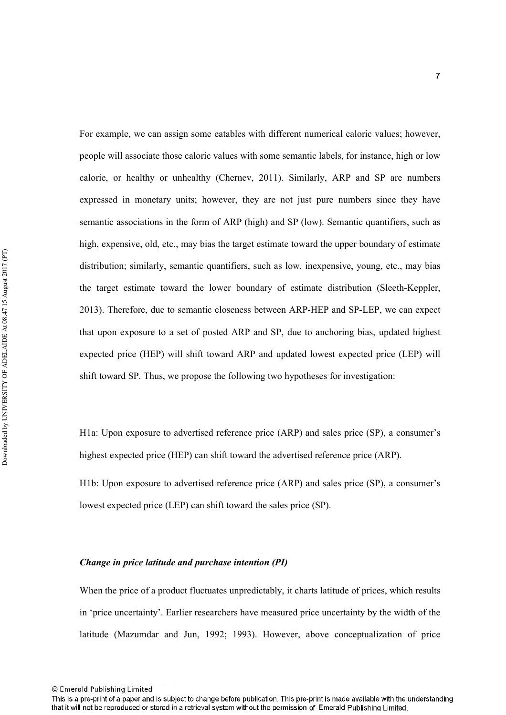For example, we can assign some eatables with different numerical caloric values; however, people will associate those caloric values with some semantic labels, for instance, high or low calorie, or healthy or unhealthy (Chernev, 2011). Similarly, ARP and SP are numbers expressed in monetary units; however, they are not just pure numbers since they have semantic associations in the form of ARP (high) and SP (low). Semantic quantifiers, such as high, expensive, old, etc., may bias the target estimate toward the upper boundary of estimate distribution; similarly, semantic quantifiers, such as low, inexpensive, young, etc., may bias the target estimate toward the lower boundary of estimate distribution (Sleeth-Keppler, 2013). Therefore, due to semantic closeness between ARP-HEP and SP-LEP, we can expect that upon exposure to a set of posted ARP and SP, due to anchoring bias, updated highest expected price (HEP) will shift toward ARP and updated lowest expected price (LEP) will shift toward SP. Thus, we propose the following two hypotheses for investigation:

H1a: Upon exposure to advertised reference price (ARP) and sales price (SP), a consumer's highest expected price (HEP) can shift toward the advertised reference price (ARP).

H1b: Upon exposure to advertised reference price (ARP) and sales price (SP), a consumer's lowest expected price (LEP) can shift toward the sales price (SP).

#### *Change in price latitude and purchase intention (PI)*

When the price of a product fluctuates unpredictably, it charts latitude of prices, which results in 'price uncertainty'. Earlier researchers have measured price uncertainty by the width of the latitude (Mazumdar and Jun, 1992; 1993). However, above conceptualization of price

<sup>©</sup> Emerald Publishing Limited

This is a pre-print of a paper and is subject to change before publication. This pre-print is made available with the understanding that it will not be reproduced or stored in a retrieval system without the permission of Emerald Publishing Limited.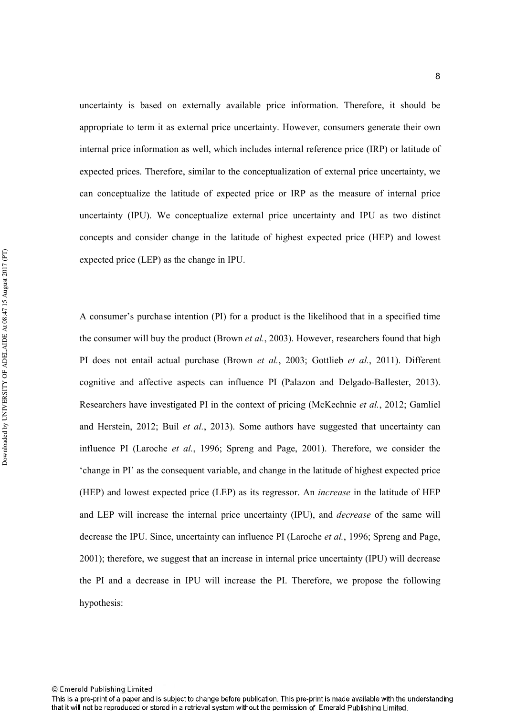uncertainty is based on externally available price information. Therefore, it should be appropriate to term it as external price uncertainty. However, consumers generate their own internal price information as well, which includes internal reference price (IRP) or latitude of expected prices. Therefore, similar to the conceptualization of external price uncertainty, we can conceptualize the latitude of expected price or IRP as the measure of internal price uncertainty (IPU). We conceptualize external price uncertainty and IPU as two distinct concepts and consider change in the latitude of highest expected price (HEP) and lowest expected price (LEP) as the change in IPU.

A consumer's purchase intention (PI) for a product is the likelihood that in a specified time the consumer will buy the product (Brown *et al.*, 2003). However, researchers found that high PI does not entail actual purchase (Brown *et al.*, 2003; Gottlieb *et al.*, 2011). Different cognitive and affective aspects can influence PI (Palazon and Delgado-Ballester, 2013). Researchers have investigated PI in the context of pricing (McKechnie et al., 2012; Gamliel and Herstein, 2012; Buil et al., 2013). Some authors have suggested that uncertainty can influence PI (Laroche *et al.*, 1996; Spreng and Page, 2001). Therefore, we consider the 'change in PI' as the consequent variable, and change in the latitude of highest expected price (HEP) and lowest expected price (LEP) as its regressor. An *increase* in the latitude of HEP and LEP will increase the internal price uncertainty (IPU), and *decrease* of the same will decrease the IPU. Since, uncertainty can influence PI (Laroche *et al.*, 1996; Spreng and Page, 2001); therefore, we suggest that an increase in internal price uncertainty (IPU) will decrease the PI and a decrease in IPU will increase the PI. Therefore, we propose the following hypothesis:

This is a pre-print of a paper and is subject to change before publication. This pre-print is made available with the understanding that it will not be reproduced or stored in a retrieval system without the permission of Emerald Publishing Limited.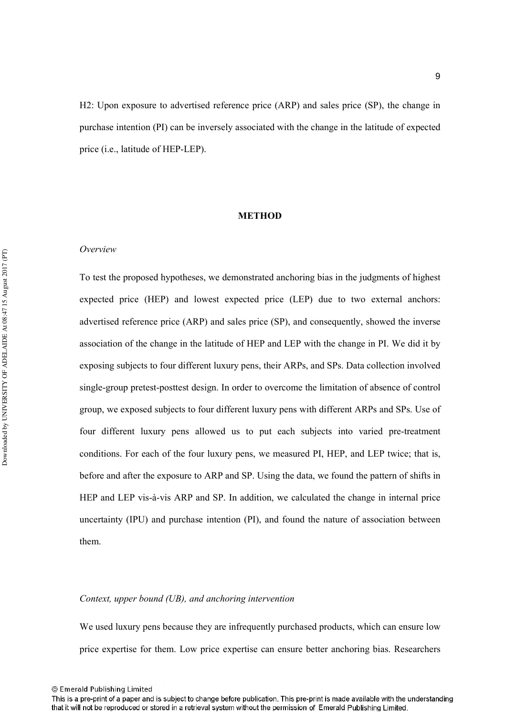H2: Upon exposure to advertised reference price (ARP) and sales price (SP), the change in purchase intention (PI) can be inversely associated with the change in the latitude of expected price  $(i.e.,$  latitude of HEP-LEP).

#### **METHOD**

#### *Overview*

To test the proposed hypotheses, we demonstrated anchoring bias in the judgments of highest expected price (HEP) and lowest expected price (LEP) due to two external anchors: advertised reference price (ARP) and sales price (SP), and consequently, showed the inverse association of the change in the latitude of HEP and LEP with the change in PI. We did it by exposing subjects to four different luxury pens, their ARPs, and SPs. Data collection involved single-group pretest-posttest design. In order to overcome the limitation of absence of control group, we exposed subjects to four different luxury pens with different ARPs and SPs. Use of four different luxury pens allowed us to put each subjects into varied pre-treatment conditions. For each of the four luxury pens, we measured PI, HEP, and LEP twice; that is, before and after the exposure to ARP and SP. Using the data, we found the pattern of shifts in HEP and LEP vis-à-vis ARP and SP. In addition, we calculated the change in internal price uncertainty (IPU) and purchase intention (PI), and found the nature of association between them.

#### *Context, upper bound (UB), and anchoring intervention*

We used luxury pens because they are infrequently purchased products, which can ensure low price expertise for them. Low price expertise can ensure better anchoring bias. Researchers

<sup>©</sup> Emerald Publishing Limited

This is a pre-print of a paper and is subject to change before publication. This pre-print is made available with the understanding that it will not be reproduced or stored in a retrieval system without the permission of Emerald Publishing Limited.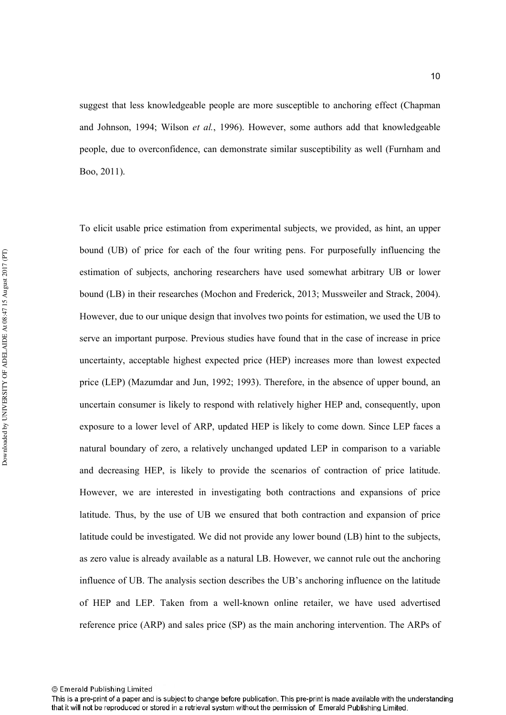suggest that less knowledgeable people are more susceptible to anchoring effect (Chapman and Johnson, 1994; Wilson et al., 1996). However, some authors add that knowledgeable people, due to overconfidence, can demonstrate similar susceptibility as well (Furnham and Boo, 2011).

To elicit usable price estimation from experimental subjects, we provided, as hint, an upper bound (UB) of price for each of the four writing pens. For purposefully influencing the estimation of subjects, anchoring researchers have used somewhat arbitrary UB or lower bound (LB) in their researches (Mochon and Frederick, 2013; Mussweiler and Strack, 2004). However, due to our unique design that involves two points for estimation, we used the UB to serve an important purpose. Previous studies have found that in the case of increase in price uncertainty, acceptable highest expected price (HEP) increases more than lowest expected price (LEP) (Mazumdar and Jun, 1992; 1993). Therefore, in the absence of upper bound, an uncertain consumer is likely to respond with relatively higher HEP and, consequently, upon exposure to a lower level of ARP, updated HEP is likely to come down. Since LEP faces a natural boundary of zero, a relatively unchanged updated LEP in comparison to a variable and decreasing HEP, is likely to provide the scenarios of contraction of price latitude. However, we are interested in investigating both contractions and expansions of price latitude. Thus, by the use of UB we ensured that both contraction and expansion of price latitude could be investigated. We did not provide any lower bound (LB) hint to the subjects, as zero value is already available as a natural LB. However, we cannot rule out the anchoring influence of UB. The analysis section describes the UB's anchoring influence on the latitude of HEP and LEP. Taken from a well-known online retailer, we have used advertised reference price (ARP) and sales price (SP) as the main anchoring intervention. The ARPs of

<sup>©</sup> Emerald Publishing Limited

This is a pre-print of a paper and is subject to change before publication. This pre-print is made available with the understanding that it will not be reproduced or stored in a retrieval system without the permission of Emerald Publishing Limited.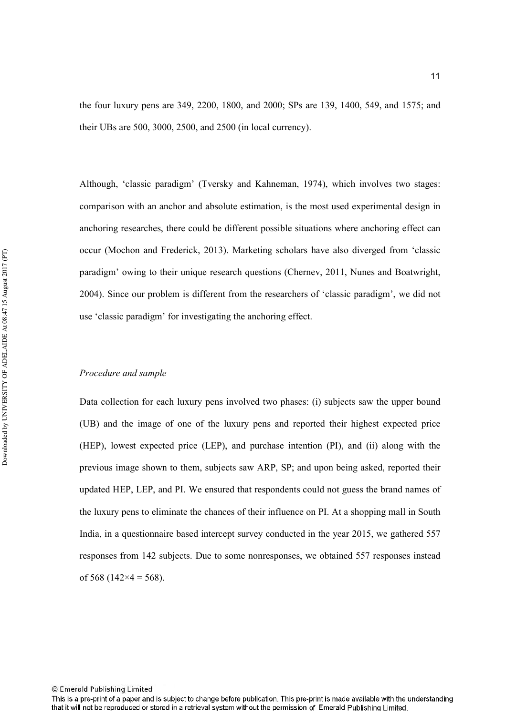the four luxury pens are 349, 2200, 1800, and 2000; SPs are 139, 1400, 549, and 1575; and their UBs are 500, 3000, 2500, and 2500 (in local currency).

Although, 'classic paradigm' (Tversky and Kahneman, 1974), which involves two stages: comparison with an anchor and absolute estimation, is the most used experimental design in anchoring researches, there could be different possible situations where anchoring effect can occur (Mochon and Frederick, 2013). Marketing scholars have also diverged from 'classic paradigm' owing to their unique research questions (Chernev, 2011, Nunes and Boatwright, 2004). Since our problem is different from the researchers of 'classic paradigm', we did not use 'classic paradigm' for investigating the anchoring effect.

#### *Procedure and sample*

Data collection for each luxury pens involved two phases: (i) subjects saw the upper bound (UB) and the image of one of the luxury pens and reported their highest expected price (HEP), lowest expected price (LEP), and purchase intention (PI), and (ii) along with the previous image shown to them, subjects saw ARP, SP; and upon being asked, reported their updated HEP, LEP, and PI. We ensured that respondents could not guess the brand names of the luxury pens to eliminate the chances of their influence on PI. At a shopping mall in South India, in a questionnaire based intercept survey conducted in the year 2015, we gathered 557 responses from 142 subjects. Due to some nonresponses, we obtained 557 responses instead of 568 (142 $\times$ 4 = 568).

This is a pre-print of a paper and is subject to change before publication. This pre-print is made available with the understanding that it will not be reproduced or stored in a retrieval system without the permission of Emerald Publishing Limited.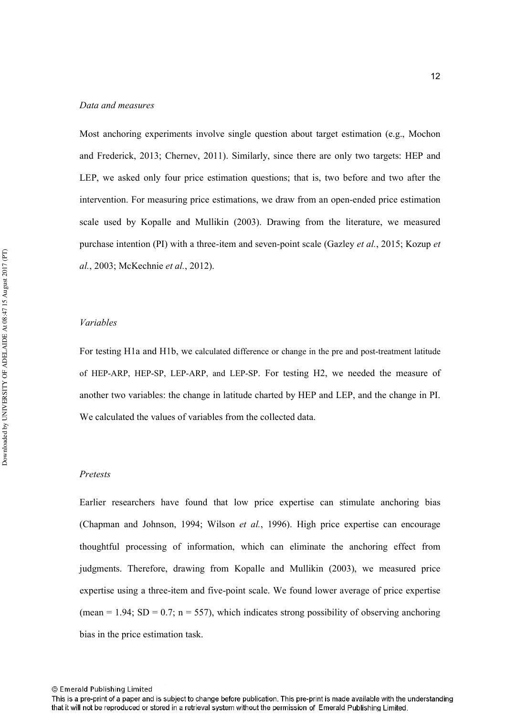#### *Data and measures*

Most anchoring experiments involve single question about target estimation (e.g., Mochon and Frederick, 2013; Chernev, 2011). Similarly, since there are only two targets: HEP and LEP, we asked only four price estimation questions; that is, two before and two after the intervention. For measuring price estimations, we draw from an open-ended price estimation scale used by Kopalle and Mullikin (2003). Drawing from the literature, we measured purchase intention (PI) with a three-item and seven-point scale (Gazley *et al.*, 2015; Kozup *et al.*, 2003; McKechnie *et al.*, 2012).

#### 

For testing H1a and H1b, we calculated difference or change in the pre and post-treatment latitude of HEP-ARP, HEP-SP, LEP-ARP, and LEP-SP. For testing H2, we needed the measure of another two variables: the change in latitude charted by HEP and LEP, and the change in PI. We calculated the values of variables from the collected data.

#### *Pretests*

Earlier researchers have found that low price expertise can stimulate anchoring bias (Chapman and Johnson, 1994; Wilson *et al.*, 1996). High price expertise can encourage thoughtful processing of information, which can eliminate the anchoring effect from judgments. Therefore, drawing from Kopalle and Mullikin (2003), we measured price expertise using a three-item and five-point scale. We found lower average of price expertise (mean = 1.94;  $SD = 0.7$ ; n = 557), which indicates strong possibility of observing anchoring bias in the price estimation task.

<sup>©</sup> Emerald Publishing Limited

This is a pre-print of a paper and is subject to change before publication. This pre-print is made available with the understanding that it will not be reproduced or stored in a retrieval system without the permission of Emerald Publishing Limited.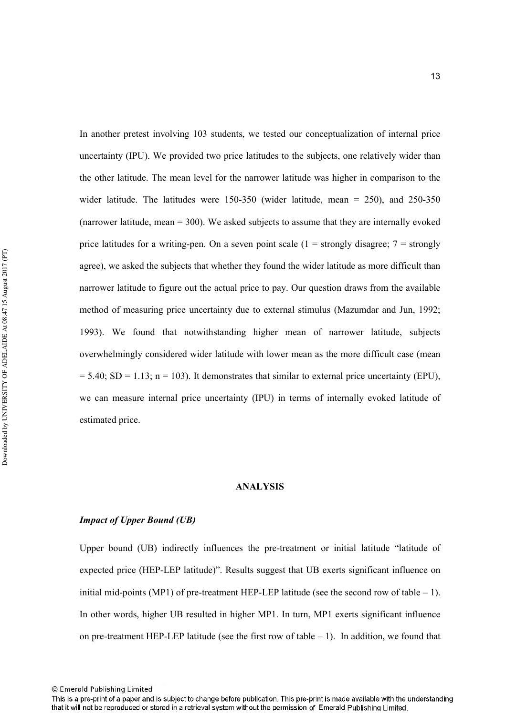In another pretest involving 103 students, we tested our conceptualization of internal price uncertainty (IPU). We provided two price latitudes to the subjects, one relatively wider than the other latitude. The mean level for the narrower latitude was higher in comparison to the wider latitude. The latitudes were  $150-350$  (wider latitude, mean = 250), and 250-350 (narrower latitude, mean = 300). We asked subjects to assume that they are internally evoked price latitudes for a writing-pen. On a seven point scale (1 = strongly disagree;  $7 =$  strongly agree), we asked the subjects that whether they found the wider latitude as more difficult than narrower latitude to figure out the actual price to pay. Our question draws from the available method of measuring price uncertainty due to external stimulus (Mazumdar and Jun, 1992; 1993). We found that notwithstanding higher mean of narrower latitude, subjects overwhelmingly considered wider latitude with lower mean as the more difficult case (mean  $= 5.40$ ; SD = 1.13; n = 103). It demonstrates that similar to external price uncertainty (EPU), we can measure internal price uncertainty (IPU) in terms of internally evoked latitude of estimated price.

#### **ANALYSIS**

#### *Impact of Upper Bound (UB)*

Upper bound (UB) indirectly influences the pre-treatment or initial latitude "latitude of expected price (HEP-LEP latitude)". Results suggest that UB exerts significant influence on initial mid-points (MP1) of pre-treatment HEP-LEP latitude (see the second row of table  $- 1$ ). In other words, higher UB resulted in higher MP1. In turn, MP1 exerts significant influence on pre-treatment HEP-LEP latitude (see the first row of table  $- 1$ ). In addition, we found that

<sup>©</sup> Emerald Publishing Limited

This is a pre-print of a paper and is subject to change before publication. This pre-print is made available with the understanding that it will not be reproduced or stored in a retrieval system without the permission of Emerald Publishing Limited.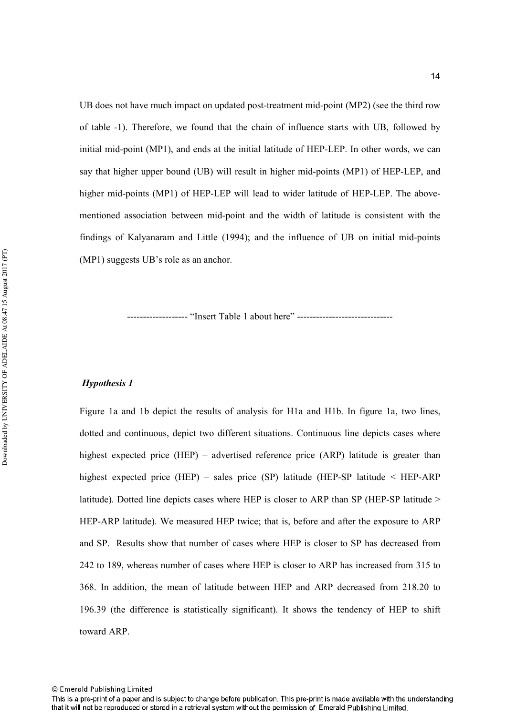UB does not have much impact on updated post-treatment mid-point (MP2) (see the third row of table -1). Therefore, we found that the chain of influence starts with UB, followed by initial mid-point  $(MP1)$ , and ends at the initial latitude of HEP-LEP. In other words, we can say that higher upper bound (UB) will result in higher mid-points  $(MPI)$  of HEP-LEP, and higher mid-points (MP1) of HEP-LEP will lead to wider latitude of HEP-LEP. The abovementioned association between mid-point and the width of latitude is consistent with the findings of Kalyanaram and Little  $(1994)$ ; and the influence of UB on initial mid-points (MP1) suggests UB's role as an anchor.

%%%%%%%%%%%%%%%%%%% "Insert Table 1 about here" %%%%%%%%%%%%%%%%%%%%%%%%%%%%%%

#### *Hypothesis 1*

Figure 1a and 1b depict the results of analysis for H1a and H1b. In figure 1a, two lines, dotted and continuous, depict two different situations. Continuous line depicts cases where highest expected price (HEP) – advertised reference price (ARP) latitude is greater than highest expected price (HEP) – sales price (SP) latitude (HEP-SP latitude  $\leq$  HEP-ARP latitude). Dotted line depicts cases where HEP is closer to ARP than SP (HEP-SP latitude  $>$ HEP-ARP latitude). We measured HEP twice; that is, before and after the exposure to ARP and SP. Results show that number of cases where HEP is closer to SP has decreased from 242 to 189, whereas number of cases where HEP is closer to ARP has increased from 315 to 368. In addition, the mean of latitude between HEP and ARP decreased from 218.20 to 196.39 (the difference is statistically significant). It shows the tendency of HEP to shift toward ARP.

This is a pre-print of a paper and is subject to change before publication. This pre-print is made available with the understanding that it will not be reproduced or stored in a retrieval system without the permission of Emerald Publishing Limited.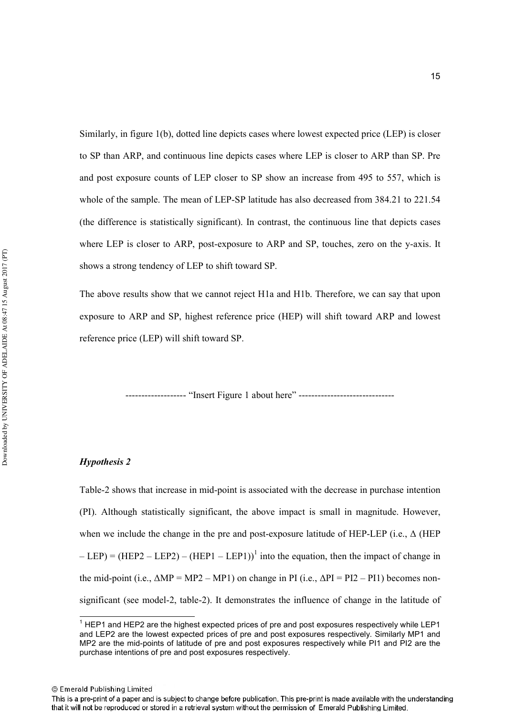Similarly, in figure 1(b), dotted line depicts cases where lowest expected price (LEP) is closer to SP than ARP, and continuous line depicts cases where LEP is closer to ARP than SP. Pre and post exposure counts of LEP closer to SP show an increase from 495 to 557, which is whole of the sample. The mean of LEP-SP latitude has also decreased from  $384.21$  to  $221.54$ (the difference is statistically significant). In contrast, the continuous line that depicts cases where LEP is closer to ARP, post-exposure to ARP and SP, touches, zero on the y-axis. It shows a strong tendency of LEP to shift toward SP.

The above results show that we cannot reject H1a and H1b. Therefore, we can say that upon exposure to ARP and SP, highest reference price (HEP) will shift toward ARP and lowest reference price (LEP) will shift toward SP.

------------------- "Insert Figure 1 about here" -------------------------------

#### *Hypothesis 2*

Table-2 shows that increase in mid-point is associated with the decrease in purchase intention (PI). Although statistically significant, the above impact is small in magnitude. However, when we include the change in the pre and post-exposure latitude of HEP-LEP (i.e.,  $\Delta$  (HEP)  $-LEP$ ) = (HEP2 – LEP2) – (HEP1 – LEP1))<sup>1</sup> into the equation, then the impact of change in the mid-point (i.e.,  $\Delta MP = MP2 - MP1$ ) on change in PI (i.e.,  $\Delta PI = PI2 - PI1$ ) becomes nonsignificant (see model-2, table-2). It demonstrates the influence of change in the latitude of

<sup>&</sup>lt;sup>1</sup> HEP1 and HEP2 are the highest expected prices of pre and post exposures respectively while LEP1 and LEP2 are the lowest expected prices of pre and post exposures respectively. Similarly MP1 and MP2 are the mid-points of latitude of pre and post exposures respectively while PI1 and PI2 are the purchase intentions of pre and post exposures respectively.

This is a pre-print of a paper and is subject to change before publication. This pre-print is made available with the understanding that it will not be reproduced or stored in a retrieval system without the permission of Emerald Publishing Limited.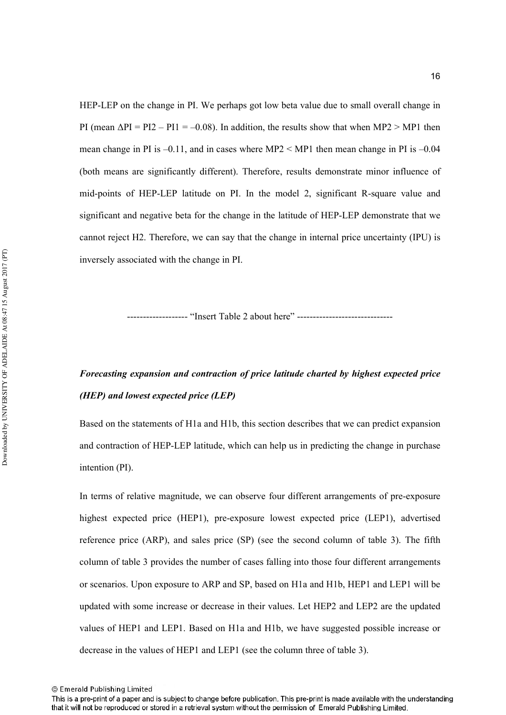HEP-LEP on the change in PI. We perhaps got low beta value due to small overall change in PI (mean  $\Delta PI = PI2 - PI1 = -0.08$ ). In addition, the results show that when MP2 > MP1 then mean change in PI is  $-0.11$ , and in cases where MP2  $\leq$  MP1 then mean change in PI is  $-0.04$ (both means are significantly different). Therefore, results demonstrate minor influence of mid-points of HEP-LEP latitude on PI. In the model 2, significant R-square value and significant and negative beta for the change in the latitude of HEP-LEP demonstrate that we cannot reject H2. Therefore, we can say that the change in internal price uncertainty (IPU) is inversely associated with the change in PI.

------------------- "Insert Table 2 about here" --------------------------------

## *Forecasting expansion and contraction of price latitude charted by highest expected price* (*HEP*) and lowest expected price (LEP)

Based on the statements of H1a and H1b, this section describes that we can predict expansion and contraction of HEP-LEP latitude, which can help us in predicting the change in purchase intention (PI).

In terms of relative magnitude, we can observe four different arrangements of pre-exposure highest expected price (HEP1), pre-exposure lowest expected price (LEP1), advertised reference price (ARP), and sales price (SP) (see the second column of table 3). The fifth column of table 3 provides the number of cases falling into those four different arrangements or scenarios. Upon exposure to ARP and SP, based on H1a and H1b, HEP1 and LEP1 will be updated with some increase or decrease in their values. Let HEP2 and LEP2 are the updated values of HEP1 and LEP1. Based on H1a and H1b, we have suggested possible increase or decrease in the values of HEP1 and LEP1 (see the column three of table 3).

<sup>©</sup> Emerald Publishing Limited

This is a pre-print of a paper and is subject to change before publication. This pre-print is made available with the understanding that it will not be reproduced or stored in a retrieval system without the permission of Emerald Publishing Limited.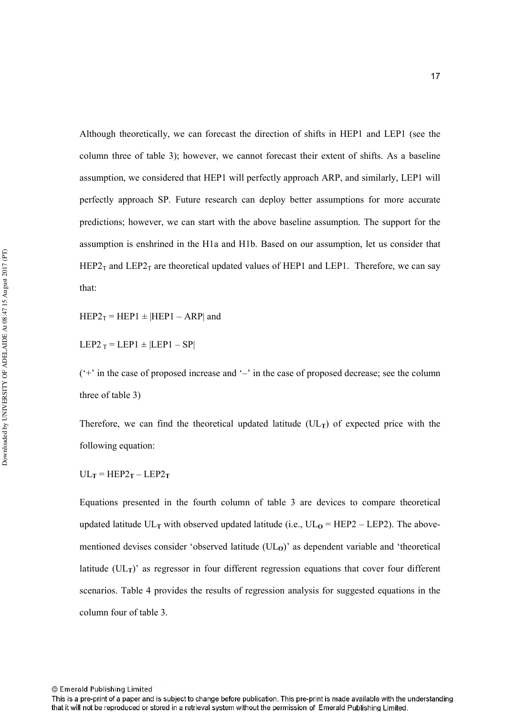Although theoretically, we can forecast the direction of shifts in HEP1 and LEP1 (see the column three of table 3); however, we cannot forecast their extent of shifts. As a baseline assumption, we considered that HEP1 will perfectly approach ARP, and similarly, LEP1 will perfectly approach SP. Future research can deploy better assumptions for more accurate predictions; however, we can start with the above baseline assumption. The support for the assumption is enshrined in the H1a and H1b. Based on our assumption, let us consider that HEP2<sub>T</sub> and LEP2<sub>T</sub> are theoretical updated values of HEP1 and LEP1. Therefore, we can say that:

 $HEP2_T = HEP1 \pm |HEP1 - ARP|$  and

LEP2  $_T$  = LEP1  $\pm$  |LEP1 – SP|

 $(4)$  in the case of proposed increase and  $-$  in the case of proposed decrease; see the column three of table 3)

Therefore, we can find the theoretical updated latitude  $(UL_T)$  of expected price with the following equation:

 $UL_T = HEP2_T - LEP2_T$ 

Equations presented in the fourth column of table 3 are devices to compare theoretical updated latitude  $UL_T$  with observed updated latitude (i.e.,  $UL_O = HEP2 - LEP2$ ). The abovementioned devises consider 'observed latitude  $(UL<sub>O</sub>)$ ' as dependent variable and 'theoretical latitude  $(UL_T)'$  as regressor in four different regression equations that cover four different scenarios. Table 4 provides the results of regression analysis for suggested equations in the column four of table 3.

This is a pre-print of a paper and is subject to change before publication. This pre-print is made available with the understanding that it will not be reproduced or stored in a retrieval system without the permission of Emerald Publishing Limited.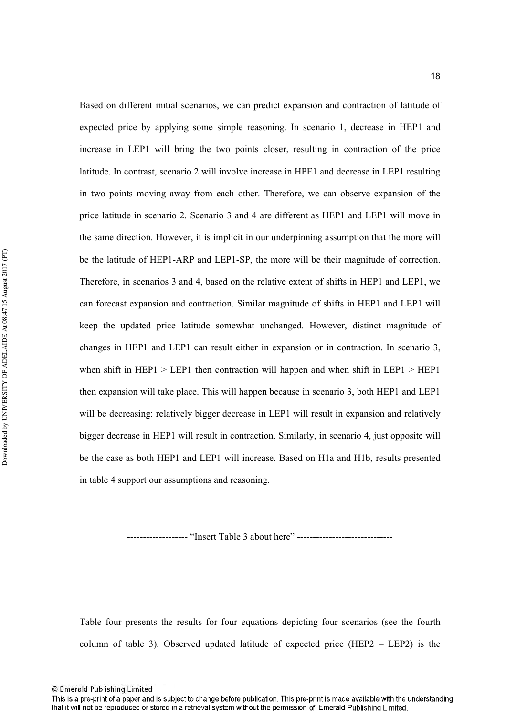Based on different initial scenarios, we can predict expansion and contraction of latitude of expected price by applying some simple reasoning. In scenario 1, decrease in HEP1 and increase in LEP1 will bring the two points closer, resulting in contraction of the price latitude. In contrast, scenario 2 will involve increase in HPE1 and decrease in LEP1 resulting in two points moving away from each other. Therefore, we can observe expansion of the price latitude in scenario 2. Scenario 3 and 4 are different as HEP1 and LEP1 will move in the same direction. However, it is implicit in our underpinning assumption that the more will be the latitude of HEP1-ARP and LEP1-SP, the more will be their magnitude of correction. Therefore, in scenarios 3 and 4, based on the relative extent of shifts in HEP1 and LEP1, we can forecast expansion and contraction. Similar magnitude of shifts in HEP1 and LEP1 will keep the updated price latitude somewhat unchanged. However, distinct magnitude of changes in HEP1 and LEP1 can result either in expansion or in contraction. In scenario 3, when shift in HEP1  $>$  LEP1 then contraction will happen and when shift in LEP1  $>$  HEP1 then expansion will take place. This will happen because in scenario 3, both HEP1 and LEP1 will be decreasing: relatively bigger decrease in LEP1 will result in expansion and relatively bigger decrease in HEP1 will result in contraction. Similarly, in scenario 4, just opposite will be the case as both HEP1 and LEP1 will increase. Based on H1a and H1b, results presented in table 4 support our assumptions and reasoning.

---------------- "Insert Table 3 about here" ------

Table four presents the results for four equations depicting four scenarios (see the fourth column of table 3). Observed updated latitude of expected price (HEP2 – LEP2) is the

This is a pre-print of a paper and is subject to change before publication. This pre-print is made available with the understanding that it will not be reproduced or stored in a retrieval system without the permission of Emerald Publishing Limited.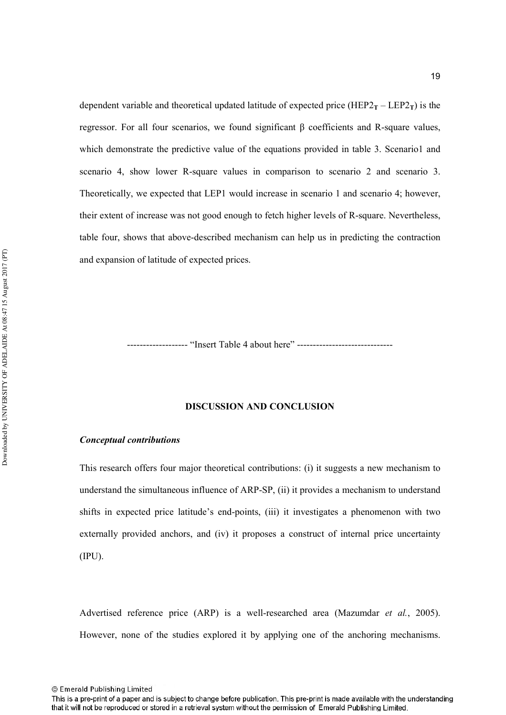dependent variable and theoretical updated latitude of expected price (HEP2 $_T$  – LEP2 $_T$ ) is the regressor. For all four scenarios, we found significant β coefficients and R-square values, which demonstrate the predictive value of the equations provided in table 3. Scenario1 and scenario 4, show lower R-square values in comparison to scenario 2 and scenario 3. Theoretically, we expected that LEP1 would increase in scenario 1 and scenario 4; however, their extent of increase was not good enough to fetch higher levels of R-square. Nevertheless, table four, shows that above-described mechanism can help us in predicting the contraction and expansion of latitude of expected prices.

------------------- "Insert Table 4 about here" --------------------------------

#### **DISCUSSION AND CONCLUSION**

#### $Conceptual contributions$

This research offers four major theoretical contributions: (i) it suggests a new mechanism to understand the simultaneous influence of  $ARP-SP$ , (ii) it provides a mechanism to understand shifts in expected price latitude's end-points, (iii) it investigates a phenomenon with two externally provided anchors, and (iv) it proposes a construct of internal price uncertainty (IPU).

Advertised reference price (ARP) is a well-researched area (Mazumdar *et al.*, 2005). However, none of the studies explored it by applying one of the anchoring mechanisms.

This is a pre-print of a paper and is subject to change before publication. This pre-print is made available with the understanding that it will not be reproduced or stored in a retrieval system without the permission of Emerald Publishing Limited.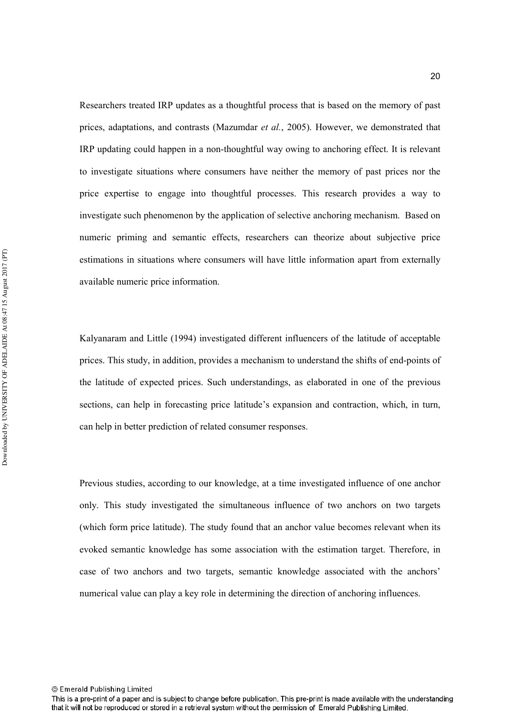Researchers treated IRP updates as a thoughtful process that is based on the memory of past prices, adaptations, and contrasts (Mazumdar et al., 2005). However, we demonstrated that IRP updating could happen in a non-thoughtful way owing to anchoring effect. It is relevant to investigate situations where consumers have neither the memory of past prices nor the price expertise to engage into thoughtful processes. This research provides a way to investigate such phenomenon by the application of selective anchoring mechanism. Based on numeric priming and semantic effects, researchers can theorize about subjective price estimations in situations where consumers will have little information apart from externally available numeric price information.

Kalyanaram and Little (1994) investigated different influencers of the latitude of acceptable prices. This study, in addition, provides a mechanism to understand the shifts of end-points of the latitude of expected prices. Such understandings, as elaborated in one of the previous sections, can help in forecasting price latitude's expansion and contraction, which, in turn, can help in better prediction of related consumer responses.

Previous studies, according to our knowledge, at a time investigated influence of one anchor only. This study investigated the simultaneous influence of two anchors on two targets (which form price latitude). The study found that an anchor value becomes relevant when its evoked semantic knowledge has some association with the estimation target. Therefore, in case of two anchors and two targets, semantic knowledge associated with the anchors' numerical value can play a key role in determining the direction of anchoring influences.

This is a pre-print of a paper and is subject to change before publication. This pre-print is made available with the understanding that it will not be reproduced or stored in a retrieval system without the permission of Emerald Publishing Limited.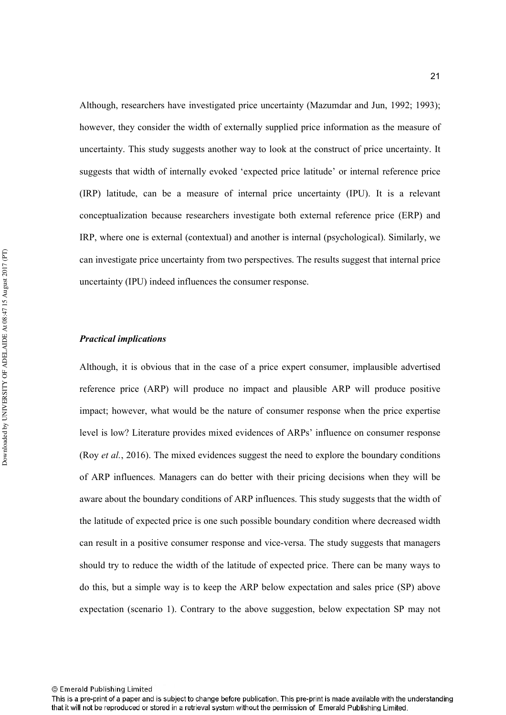Although, researchers have investigated price uncertainty (Mazumdar and Jun, 1992; 1993); however, they consider the width of externally supplied price information as the measure of uncertainty. This study suggests another way to look at the construct of price uncertainty. It suggests that width of internally evoked 'expected price latitude' or internal reference price (IRP) latitude, can be a measure of internal price uncertainty (IPU). It is a relevant conceptualization because researchers investigate both external reference price (ERP) and IRP, where one is external (contextual) and another is internal (psychological). Similarly, we can investigate price uncertainty from two perspectives. The results suggest that internal price uncertainty (IPU) indeed influences the consumer response.

#### *Practical implications*

Although, it is obvious that in the case of a price expert consumer, implausible advertised reference price (ARP) will produce no impact and plausible ARP will produce positive impact; however, what would be the nature of consumer response when the price expertise level is low? Literature provides mixed evidences of ARPs' influence on consumer response (Roy *et al.*, 2016). The mixed evidences suggest the need to explore the boundary conditions of ARP influences. Managers can do better with their pricing decisions when they will be aware about the boundary conditions of ARP influences. This study suggests that the width of the latitude of expected price is one such possible boundary condition where decreased width can result in a positive consumer response and vice-versa. The study suggests that managers should try to reduce the width of the latitude of expected price. There can be many ways to do this, but a simple way is to keep the ARP below expectation and sales price (SP) above expectation (scenario 1). Contrary to the above suggestion, below expectation SP may not

This is a pre-print of a paper and is subject to change before publication. This pre-print is made available with the understanding that it will not be reproduced or stored in a retrieval system without the permission of Emerald Publishing Limited.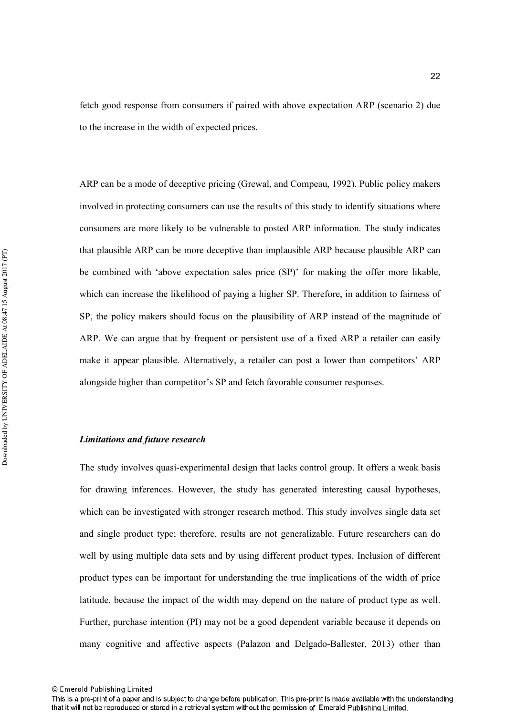fetch good response from consumers if paired with above expectation ARP (scenario 2) due to the increase in the width of expected prices.

ARP can be a mode of deceptive pricing (Grewal, and Compeau, 1992). Public policy makers involved in protecting consumers can use the results of this study to identify situations where consumers are more likely to be vulnerable to posted ARP information. The study indicates that plausible ARP can be more deceptive than implausible ARP because plausible ARP can be combined with 'above expectation sales price (SP)' for making the offer more likable, which can increase the likelihood of paying a higher SP. Therefore, in addition to fairness of SP, the policy makers should focus on the plausibility of ARP instead of the magnitude of ARP. We can argue that by frequent or persistent use of a fixed ARP a retailer can easily make it appear plausible. Alternatively, a retailer can post a lower than competitors' ARP alongside higher than competitor's SP and fetch favorable consumer responses.

#### Limitations and future research

The study involves quasi-experimental design that lacks control group. It offers a weak basis for drawing inferences. However, the study has generated interesting causal hypotheses, which can be investigated with stronger research method. This study involves single data set and single product type; therefore, results are not generalizable. Future researchers can do well by using multiple data sets and by using different product types. Inclusion of different product types can be important for understanding the true implications of the width of price latitude, because the impact of the width may depend on the nature of product type as well. Further, purchase intention (PI) may not be a good dependent variable because it depends on many cognitive and affective aspects (Palazon and Delgado-Ballester, 2013) other than

<sup>©</sup> Emerald Publishing Limited

This is a pre-print of a paper and is subject to change before publication. This pre-print is made available with the understanding that it will not be reproduced or stored in a retrieval system without the permission of Emerald Publishing Limited.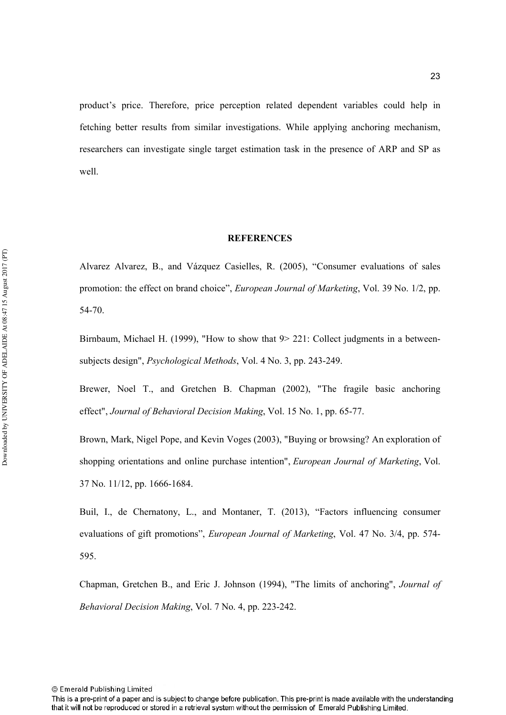product's price. Therefore, price perception related dependent variables could help in fetching better results from similar investigations. While applying anchoring mechanism, researchers can investigate single target estimation task in the presence of ARP and SP as well.

#### **REFERENCES**

Alvarez Alvarez, B., and Vázquez Casielles, R. (2005), "Consumer evaluations of sales promotion: the effect on brand choice", *European Journal of Marketing*, Vol. 39 No. 1/2, pp. 54-70.

Birnbaum, Michael H. (1999), "How to show that  $9$  > 221: Collect judgments in a betweensubjects design", *Psychological Methods*, Vol. 4 No. 3, pp. 243-249.

Brewer, Noel T., and Gretchen B. Chapman (2002), "The fragile basic anchoring effect", Journal of Behavioral Decision Making, Vol. 15 No. 1, pp. 65-77.

Brown, Mark, Nigel Pope, and Kevin Voges (2003), "Buying or browsing? An exploration of shopping orientations and online purchase intention", *European Journal of Marketing*, Vol. 37 No. 11/12, pp. 1666-1684.

Buil, I., de Chernatony, L., and Montaner, T. (2013), "Factors influencing consumer evaluations of gift promotions", *European Journal of Marketing*, Vol. 47 No. 3/4, pp. 574-595.

Chapman, Gretchen B., and Eric J. Johnson (1994), "The limits of anchoring", *Journal of Behavioral Decision Making, Vol. 7 No. 4, pp. 223-242.* 

This is a pre-print of a paper and is subject to change before publication. This pre-print is made available with the understanding that it will not be reproduced or stored in a retrieval system without the permission of Emerald Publishing Limited.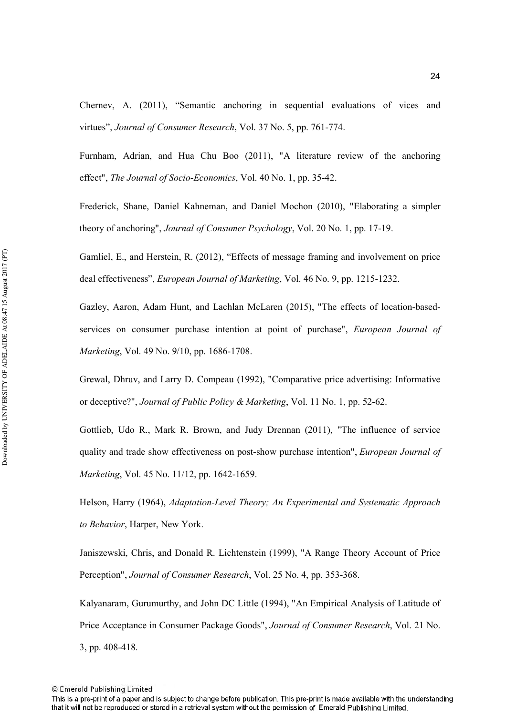Chernev, A. (2011), "Semantic anchoring in sequential evaluations of vices and virtues", *Journal of Consumer Research*, Vol. 37 No. 5, pp. 761-774.

Furnham, Adrian, and Hua Chu Boo (2011), "A literature review of the anchoring effect", *The Journal of Socio-Economics*, Vol. 40 No. 1, pp. 35-42.

Frederick, Shane, Daniel Kahneman, and Daniel Mochon (2010), "Elaborating a simpler theory of anchoring", *Journal of Consumer Psychology*, Vol. 20 No. 1, pp. 17-19.

Gamliel, E., and Herstein, R. (2012), "Effects of message framing and involvement on price deal effectiveness", *European Journal of Marketing*, Vol. 46 No. 9, pp. 1215-1232.

Gazley, Aaron, Adam Hunt, and Lachlan McLaren  $(2015)$ , "The effects of location-basedservices on consumer purchase intention at point of purchase", *European Journal of Marketing*, Vol. 49 No. 9/10, pp. 1686-1708.

Grewal, Dhruv, and Larry D. Compeau (1992), "Comparative price advertising: Informative or deceptive?", *Journal of Public Policy & Marketing*, Vol. 11 No. 1, pp. 52-62.

Gottlieb, Udo R., Mark R. Brown, and Judy Drennan (2011), "The influence of service quality and trade show effectiveness on post-show purchase intention", *European Journal of Marketing*, Vol. 45 No. 11/12, pp. 1642-1659.

Helson, Harry (1964), *Adaptation-Level Theory; An Experimental and Systematic Approach* to Behavior, Harper, New York.

Janiszewski, Chris, and Donald R. Lichtenstein (1999), "A Range Theory Account of Price Perception", *Journal of Consumer Research*, Vol. 25 No. 4, pp. 353-368.

Kalyanaram, Gurumurthy, and John DC Little (1994), "An Empirical Analysis of Latitude of Price Acceptance in Consumer Package Goods", Journal of Consumer Research, Vol. 21 No.  $3$ , pp.  $408-418$ .

<sup>©</sup> Emerald Publishing Limited

This is a pre-print of a paper and is subject to change before publication. This pre-print is made available with the understanding that it will not be reproduced or stored in a retrieval system without the permission of Emerald Publishing Limited.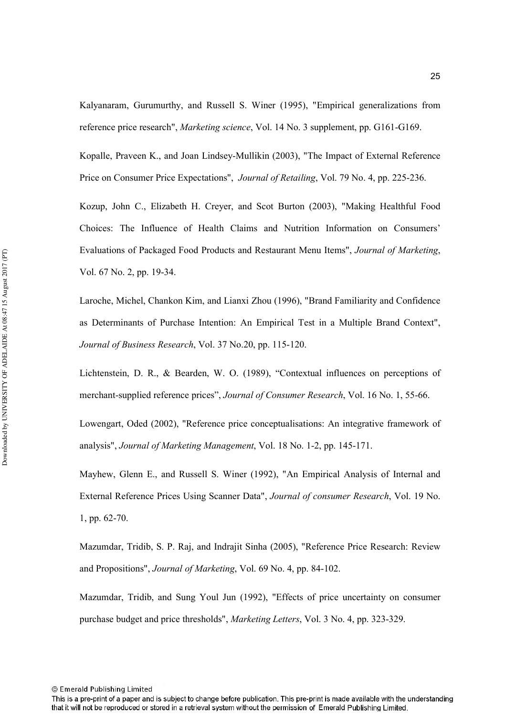Kalyanaram, Gurumurthy, and Russell S. Winer (1995), "Empirical generalizations from reference price research", *Marketing science*, Vol. 14 No. 3 supplement, pp. G161-G169.

Kopalle, Praveen K., and Joan Lindsey-Mullikin (2003), "The Impact of External Reference Price on Consumer Price Expectations", *Journal of Retailing*, Vol. 79 No. 4, pp. 225-236.

Kozup, John C., Elizabeth H. Creyer, and Scot Burton (2003), "Making Healthful Food Choices: The Influence of Health Claims and Nutrition Information on Consumers' Evaluations of Packaged Food Products and Restaurant Menu Items", *Journal of Marketing*, Vol. 67 No. 2, pp. 19-34.

Laroche, Michel, Chankon Kim, and Lianxi Zhou (1996), "Brand Familiarity and Confidence as Determinants of Purchase Intention: An Empirical Test in a Multiple Brand Context", *Journal of Business Research, Vol. 37 No.20, pp. 115-120.* 

Lichtenstein, D. R., & Bearden, W. O. (1989), "Contextual influences on perceptions of merchant-supplied reference prices", *Journal of Consumer Research*, Vol. 16 No. 1, 55-66.

Lowengart, Oded (2002), "Reference price conceptualisations: An integrative framework of analysis", *Journal of Marketing Management*, Vol. 18 No. 1-2, pp. 145-171.

Mayhew, Glenn E., and Russell S. Winer (1992), "An Empirical Analysis of Internal and External Reference Prices Using Scanner Data", *Journal of consumer Research*, Vol. 19 No.  $1, pp. 62-70.$ 

Mazumdar, Tridib, S. P. Raj, and Indrajit Sinha (2005), "Reference Price Research: Review and Propositions", *Journal of Marketing*, Vol. 69 No. 4, pp. 84-102.

Mazumdar, Tridib, and Sung Youl Jun (1992), "Effects of price uncertainty on consumer purchase budget and price thresholds", *Marketing Letters*, Vol. 3 No. 4, pp. 323-329.

This is a pre-print of a paper and is subject to change before publication. This pre-print is made available with the understanding that it will not be reproduced or stored in a retrieval system without the permission of Emerald Publishing Limited.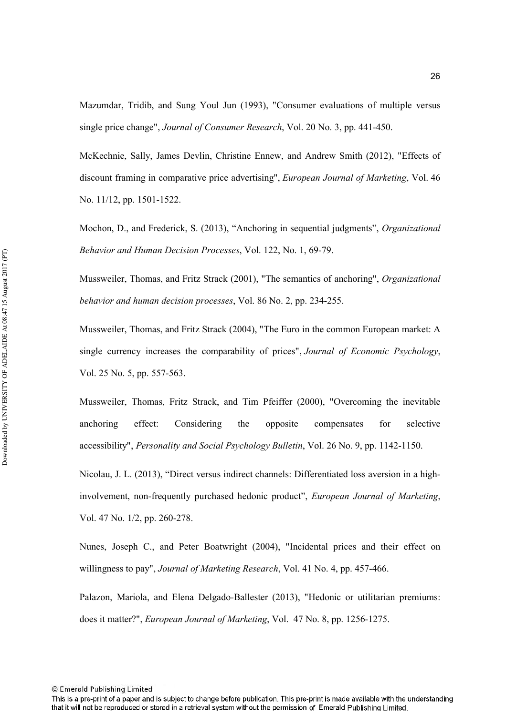Mazumdar, Tridib, and Sung Youl Jun (1993), "Consumer evaluations of multiple versus single price change", *Journal of Consumer Research*, Vol. 20 No. 3, pp. 441-450.

McKechnie, Sally, James Devlin, Christine Ennew, and Andrew Smith (2012), "Effects of discount framing in comparative price advertising", *European Journal of Marketing*, Vol. 46 No. 11/12, pp. 1501-1522.

Mochon, D., and Frederick, S. (2013), "Anchoring in sequential judgments", *Organizational Behavior and Human Decision Processes, Vol. 122, No. 1, 69-79.* 

Mussweiler, Thomas, and Fritz Strack (2001), "The semantics of anchoring", *Organizational behavior and human decision processes, Vol. 86 No. 2, pp. 234-255.* 

Mussweiler, Thomas, and Fritz Strack (2004), "The Euro in the common European market: A single currency increases the comparability of prices", *Journal of Economic Psychology*, Vol. 25 No. 5, pp.  $557-563$ .

Mussweiler, Thomas, Fritz Strack, and Tim Pfeiffer (2000), "Overcoming the inevitable anchoring effect: Considering the opposite compensates for selective accessibility", *Personality and Social Psychology Bulletin*, Vol. 26 No. 9, pp. 1142-1150.

Nicolau, J. L. (2013), "Direct versus indirect channels: Differentiated loss aversion in a highinvolvement, non-frequently purchased hedonic product", *European Journal of Marketing*, Vol. 47 No. 1/2, pp. 260-278.

Nunes, Joseph C., and Peter Boatwright (2004), "Incidental prices and their effect on willingness to pay", *Journal of Marketing Research*, Vol. 41 No. 4, pp. 457-466.

Palazon, Mariola, and Elena Delgado-Ballester (2013), "Hedonic or utilitarian premiums: does it matter?", *European Journal of Marketing*, Vol. 47 No. 8, pp. 1256-1275.

This is a pre-print of a paper and is subject to change before publication. This pre-print is made available with the understanding that it will not be reproduced or stored in a retrieval system without the permission of Emerald Publishing Limited.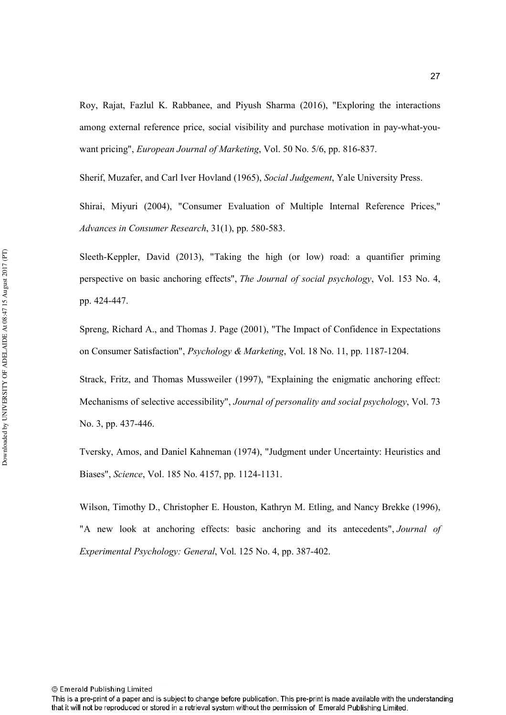Roy, Rajat, Fazlul K. Rabbanee, and Piyush Sharma (2016), "Exploring the interactions among external reference price, social visibility and purchase motivation in pay-what-youwant pricing", *European Journal of Marketing*, Vol. 50 No. 5/6, pp. 816-837.

Sherif, Muzafer, and Carl Iver Hovland (1965), *Social Judgement*, Yale University Press.

Shirai, Miyuri (2004), "Consumer Evaluation of Multiple Internal Reference Prices," Advances in Consumer Research, 31(1), pp. 580-583.

Sleeth-Keppler, David  $(2013)$ , "Taking the high (or low) road: a quantifier priming perspective on basic anchoring effects", *The Journal of social psychology*, Vol. 153 No. 4, pp. 424-447.

Spreng, Richard A., and Thomas J. Page (2001), "The Impact of Confidence in Expectations on Consumer Satisfaction", *Psychology & Marketing*, Vol. 18 No. 11, pp. 1187-1204.

Strack, Fritz, and Thomas Mussweiler (1997), "Explaining the enigmatic anchoring effect: Mechanisms of selective accessibility", *Journal of personality and social psychology*, Vol. 73 No. 3, pp. 437-446.

Tversky, Amos, and Daniel Kahneman (1974), "Judgment under Uncertainty: Heuristics and Biases", *Science*, Vol. 185 No. 4157, pp. 1124-1131.

Wilson, Timothy D., Christopher E. Houston, Kathryn M. Etling, and Nancy Brekke (1996), "A new look at anchoring effects: basic anchoring and its antecedents", *Journal of Experimental Psychology: General, Vol. 125 No. 4, pp. 387-402.* 

This is a pre-print of a paper and is subject to change before publication. This pre-print is made available with the understanding that it will not be reproduced or stored in a retrieval system without the permission of Emerald Publishing Limited.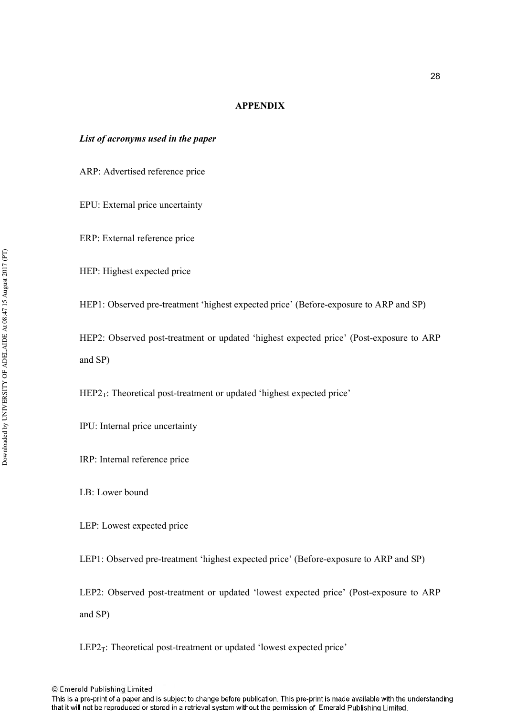#### **APPENDIX**

#### List of acronyms used in the paper

ARP: Advertised reference price

EPU: External price uncertainty

ERP: External reference price

HEP: Highest expected price

HEP1: Observed pre-treatment 'highest expected price' (Before-exposure to ARP and SP)

HEP2: Observed post-treatment or updated 'highest expected price' (Post-exposure to ARP and SP)

 $HEP2_T$ : Theoretical post-treatment or updated 'highest expected price'

IPU: Internal price uncertainty

IRP: Internal reference price

LB: Lower bound

LEP: Lowest expected price

LEP1: Observed pre-treatment 'highest expected price' (Before-exposure to ARP and SP)

LEP2: Observed post-treatment or updated 'lowest expected price' (Post-exposure to ARP and SP)

 $LEP2_T$ : Theoretical post-treatment or updated 'lowest expected price'

© Emerald Publishing Limited

This is a pre-print of a paper and is subject to change before publication. This pre-print is made available with the understanding that it will not be reproduced or stored in a retrieval system without the permission of Emerald Publishing Limited.

Downloaded by UNIVERSITY OF ADELAIDE At 08:47 15 August 2017 (PT) Downloaded by UNIVERSITY OF ADELAIDE At 08:47 15 August 2017 (PT)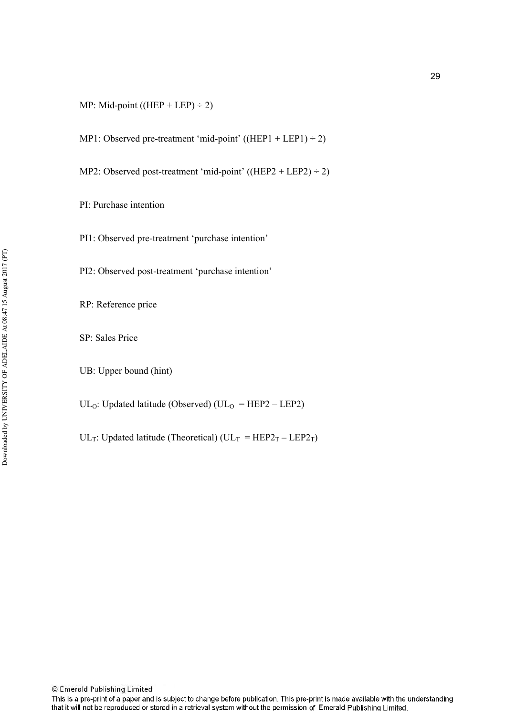- MP1: Observed pre-treatment 'mid-point' ((HEP1 + LEP1)  $\div$  2)
- MP2: Observed post-treatment 'mid-point' ((HEP2 + LEP2)  $\div$  2)
- PI: Purchase intention
- PI1: Observed pre-treatment 'purchase intention'
- PI2: Observed post-treatment 'purchase intention'
- RP: Reference price
- SP: Sales Price
- UB: Upper bound (hint)

UL<sub>O</sub>: Updated latitude (Observed) (UL<sub>O</sub> = HEP2 – LEP2)

UL<sub>T</sub>: Updated latitude (Theoretical) (UL<sub>T</sub> = HEP2<sub>T</sub> – LEP2<sub>T</sub>)

This is a pre-print of a paper and is subject to change before publication. This pre-print is made available with the understanding that it will not be reproduced or stored in a retrieval system without the permission of Emerald Publishing Limited.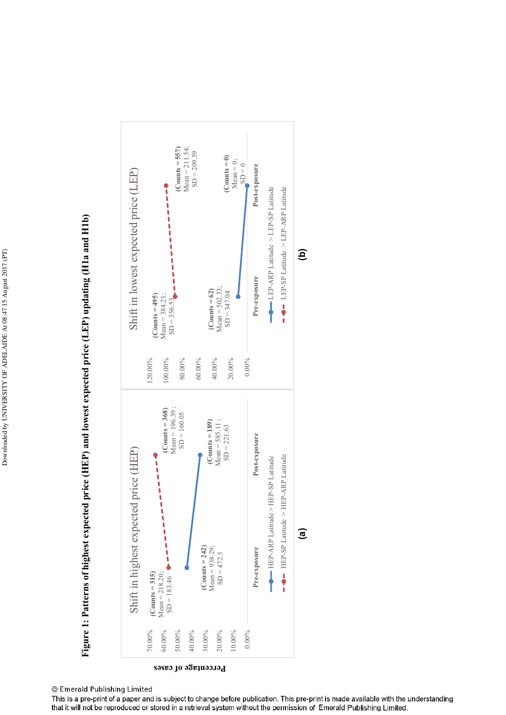



#### © Emerald Publishing Limited

This is a pre-print of a paper and is subject to change before publication. This pre-print is made available with the understanding that it will not be reproduced or stored in a retrieval system without the permission of Emerald Publishing Limited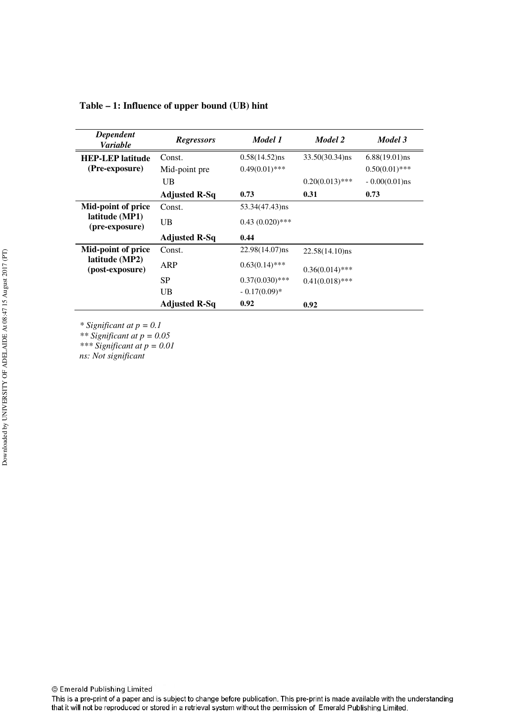| Dependent<br><b>Variable</b>                            | <b>Regressors</b>    | Model 1           | Model 2           | Model 3          |
|---------------------------------------------------------|----------------------|-------------------|-------------------|------------------|
| <b>HEP-LEP</b> latitude                                 | Const.               | $0.58(14.52)$ ns  | $33.50(30.34)$ ns | $6.88(19.01)$ ns |
| (Pre-exposure)                                          | Mid-point pre        | $0.49(0.01)$ ***  |                   | $0.50(0.01)$ *** |
|                                                         | UB                   |                   | $0.20(0.013)$ *** | $-0.00(0.01)$ ns |
|                                                         | <b>Adjusted R-Sq</b> | 0.73              | 0.31              | 0.73             |
| Mid-point of price<br>latitude (MP1)<br>(pre-exposure)  | Const.               | 53.34(47.43)ns    |                   |                  |
|                                                         | UB                   | $0.43(0.020)$ *** |                   |                  |
|                                                         | <b>Adjusted R-Sq</b> | 0.44              |                   |                  |
| Mid-point of price<br>latitude (MP2)<br>(post-exposure) | Const.               | $22.98(14.07)$ ns | $22.58(14.10)$ ns |                  |
|                                                         | ARP                  | $0.63(0.14)$ ***  | $0.36(0.014)$ *** |                  |
|                                                         | <b>SP</b>            | $0.37(0.030)$ *** | $0.41(0.018)$ *** |                  |
|                                                         | UB                   | $-0.17(0.09)*$    |                   |                  |
|                                                         | <b>Adjusted R-Sq</b> | 0.92              | 0.92              |                  |

**Table – 1: Influence of upper bound (UB) hint** 

*\* Significant at p = 0.1* 

*\*\* Significant at p = 0.05* 

*\*\*\* Significant at p = 0.01* 

*ns: Not significant* 

This is a pre-print of a paper and is subject to change before publication. This pre-print is made available with the understanding that it will not be reproduced or stored in a retrieval system without the permission of Emerald Publishing Limited.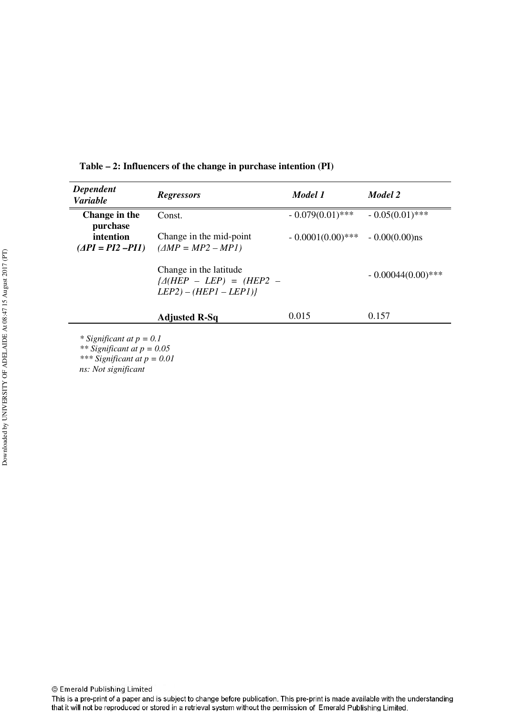| <b>Dependent</b><br><b>Variable</b>                                                             | <b>Regressors</b>                                                                         | Model 1             | Model 2             |
|-------------------------------------------------------------------------------------------------|-------------------------------------------------------------------------------------------|---------------------|---------------------|
| Change in the<br>purchase                                                                       | Const.                                                                                    | $-0.079(0.01)$ ***  | $-0.05(0.01)$ ***   |
| intention<br>$(\Delta PI = PI2 - PI1)$                                                          | Change in the mid-point<br>$(\triangle MP = MP2 - MP1)$                                   | $-0.0001(0.00)$ *** | $-0.00(0.00)$ ns    |
|                                                                                                 | Change in the latitude<br>$\angle\angle$ (HEP – LEP) = (HEP2 –<br>$LEP2) - (HEPI - LEP1)$ |                     | $-0.00044(0.00)***$ |
|                                                                                                 | <b>Adjusted R-Sq</b>                                                                      | 0.015               | 0.157               |
| * Significant at $p = 0.1$<br>** Significant at $p = 0.05$<br>*** $C_{i}^{*}$ out at $n = 0.01$ |                                                                                           |                     |                     |

**Table – 2: Influencers of the change in purchase intention (PI)** 

*\*\*\* Significant at p = 0.01* 

*ns: Not significant* 

This is a pre-print of a paper and is subject to change before publication. This pre-print is made available with the understanding that it will not be reproduced or stored in a retrieval system without the permission of Emerald Publishing Limited.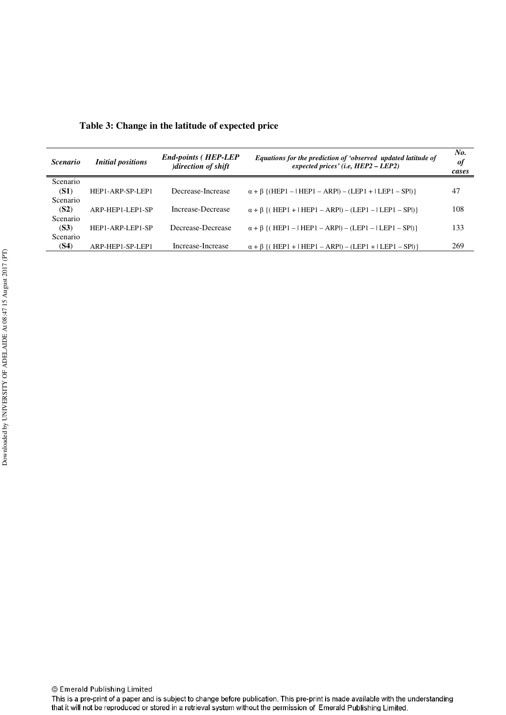| <i>Scenario</i> | <b>Initial positions</b> | <b>End-points (HEP-LEP</b><br>)direction of shift | Equations for the prediction of 'observed updated latitude of<br>expected prices' (i.e, $HEP2 - LEP2$ ) | No.<br>of<br>cases |
|-----------------|--------------------------|---------------------------------------------------|---------------------------------------------------------------------------------------------------------|--------------------|
| Scenario        |                          |                                                   |                                                                                                         |                    |
| (S1)            | HEP1-ARP-SP-LEP1         | Decrease-Increase                                 | $\alpha + \beta$ {(HEP1 –   HEP1 – ARPI) – (LEP1 +   LEP1 – SPI)}                                       | 47                 |
| Scenario        |                          |                                                   |                                                                                                         |                    |
| (S2)            | ARP-HEP1-LEP1-SP         | Increase-Decrease                                 | $\alpha + \beta$ {(HEP1+ HEP1 - ARPI) - (LEP1 -   LEP1 - SPI)}                                          | 108                |
| Scenario        |                          |                                                   |                                                                                                         |                    |
| (S3)            | HEP1-ARP-LEP1-SP         | Decrease-Decrease                                 | $\alpha + \beta$ {(HEP1 –   HEP1 – ARPI) – (LEP1 –   LEP1 – SPI)}                                       | 133                |
| Scenario        |                          |                                                   |                                                                                                         |                    |
| (S4)            | ARP-HEP1-SP-LEP1         | Increase-Increase                                 | $\alpha + \beta$ {(HEP1+ HEP1 - ARPI) - (LEP1 +   LEP1 - SPI)}                                          | 269                |

**Table 3: Change in the latitude of expected price** 

l.

This is a pre-print of a paper and is subject to change before publication. This pre-print is made available with the understanding that it will not be reproduced or stored in a retrieval system without the permission of Emerald Publishing Limited.